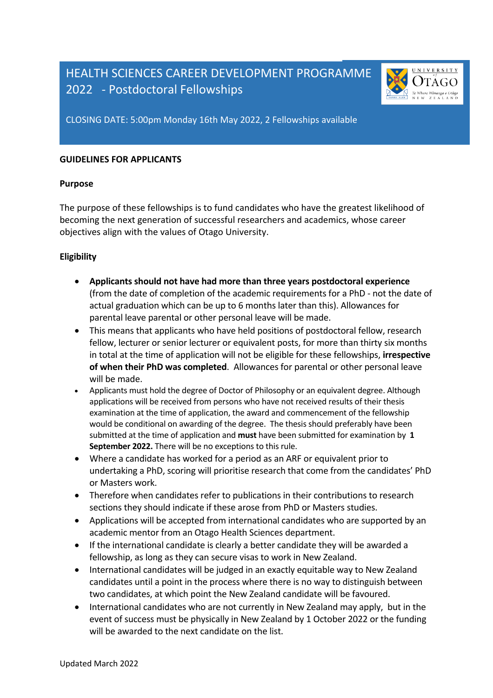# HEALTH SCIENCES CAREER DEVELOPMENT PROGRAMME 2022 - Postdoctoral Fellowships



CLOSING DATE: 5:00pm Monday 16th May 2022, 2 Fellowships available

#### **GUIDELINES FOR APPLICANTS**

#### **Purpose**

The purpose of these fellowships is to fund candidates who have the greatest likelihood of becoming the next generation of successful researchers and academics, whose career objectives align with the values of Otago University.

#### **Eligibility**

- **Applicants should not have had more than three years postdoctoral experience** (from the date of completion of the academic requirements for a PhD - not the date of actual graduation which can be up to 6 months later than this). Allowances for parental leave parental or other personal leave will be made.
- This means that applicants who have held positions of postdoctoral fellow, research fellow, lecturer or senior lecturer or equivalent posts, for more than thirty six months in total at the time of application will not be eligible for these fellowships, **irrespective of when their PhD was completed**. Allowances for parental or other personal leave will be made.
- Applicants must hold the degree of Doctor of Philosophy or an equivalent degree. Although applications will be received from persons who have not received results of their thesis examination at the time of application, the award and commencement of the fellowship would be conditional on awarding of the degree. The thesis should preferably have been submitted at the time of application and **must** have been submitted for examination by **1 September 2022.** There will be no exceptions to this rule.
- Where a candidate has worked for a period as an ARF or equivalent prior to undertaking a PhD, scoring will prioritise research that come from the candidates' PhD or Masters work.
- Therefore when candidates refer to publications in their contributions to research sections they should indicate if these arose from PhD or Masters studies.
- Applications will be accepted from international candidates who are supported by an academic mentor from an Otago Health Sciences department.
- If the international candidate is clearly a better candidate they will be awarded a fellowship, as long as they can secure visas to work in New Zealand.
- International candidates will be judged in an exactly equitable way to New Zealand candidates until a point in the process where there is no way to distinguish between two candidates, at which point the New Zealand candidate will be favoured.
- International candidates who are not currently in New Zealand may apply, but in the event of success must be physically in New Zealand by 1 October 2022 or the funding will be awarded to the next candidate on the list.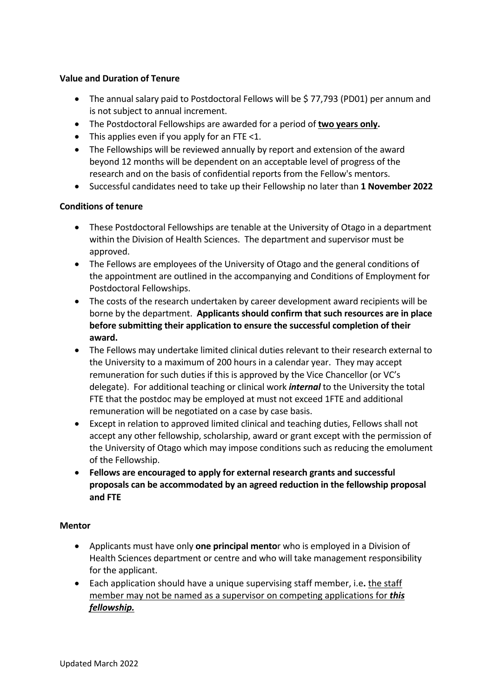## **Value and Duration of Tenure**

- The annual salary paid to Postdoctoral Fellows will be \$77,793 (PD01) per annum and is not subject to annual increment.
- The Postdoctoral Fellowships are awarded for a period of **two years only.**
- This applies even if you apply for an FTE <1.
- The Fellowships will be reviewed annually by report and extension of the award beyond 12 months will be dependent on an acceptable level of progress of the research and on the basis of confidential reports from the Fellow's mentors.
- Successful candidates need to take up their Fellowship no later than **1 November 2022**

## **Conditions of tenure**

- These Postdoctoral Fellowships are tenable at the University of Otago in a department within the Division of Health Sciences. The department and supervisor must be approved.
- The Fellows are employees of the University of Otago and the general conditions of the appointment are outlined in the accompanying and Conditions of Employment for Postdoctoral Fellowships.
- The costs of the research undertaken by career development award recipients will be borne by the department. **Applicants should confirm that such resources are in place before submitting their application to ensure the successful completion of their award.**
- The Fellows may undertake limited clinical duties relevant to their research external to the University to a maximum of 200 hours in a calendar year. They may accept remuneration for such duties if this is approved by the Vice Chancellor (or VC's delegate). For additional teaching or clinical work *internal* to the University the total FTE that the postdoc may be employed at must not exceed 1FTE and additional remuneration will be negotiated on a case by case basis.
- Except in relation to approved limited clinical and teaching duties, Fellows shall not accept any other fellowship, scholarship, award or grant except with the permission of the University of Otago which may impose conditions such as reducing the emolument of the Fellowship.
- **Fellows are encouraged to apply for external research grants and successful proposals can be accommodated by an agreed reduction in the fellowship proposal and FTE**

#### **Mentor**

- Applicants must have only **one principal mento**r who is employed in a Division of Health Sciences department or centre and who will take management responsibility for the applicant.
- Each application should have a unique supervising staff member, i.e**.** the staff member may not be named as a supervisor on competing applications for *this fellowship.*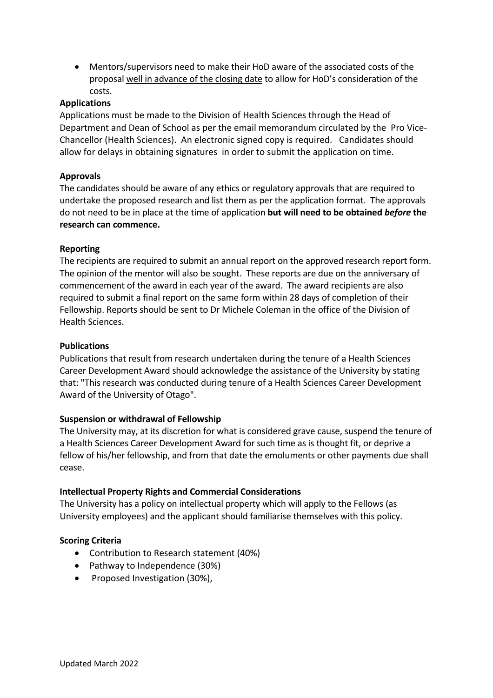• Mentors/supervisors need to make their HoD aware of the associated costs of the proposal well in advance of the closing date to allow for HoD's consideration of the costs.

## **Applications**

Applications must be made to the Division of Health Sciences through the Head of Department and Dean of School as per the email memorandum circulated by the Pro Vice-Chancellor (Health Sciences). An electronic signed copy is required. Candidates should allow for delays in obtaining signatures in order to submit the application on time.

## **Approvals**

The candidates should be aware of any ethics or regulatory approvals that are required to undertake the proposed research and list them as per the application format. The approvals do not need to be in place at the time of application **but will need to be obtained** *before* **the research can commence.**

#### **Reporting**

The recipients are required to submit an annual report on the approved research report form. The opinion of the mentor will also be sought. These reports are due on the anniversary of commencement of the award in each year of the award. The award recipients are also required to submit a final report on the same form within 28 days of completion of their Fellowship. Reports should be sent to Dr Michele Coleman in the office of the Division of Health Sciences.

#### **Publications**

Publications that result from research undertaken during the tenure of a Health Sciences Career Development Award should acknowledge the assistance of the University by stating that: "This research was conducted during tenure of a Health Sciences Career Development Award of the University of Otago".

#### **Suspension or withdrawal of Fellowship**

The University may, at its discretion for what is considered grave cause, suspend the tenure of a Health Sciences Career Development Award for such time as is thought fit, or deprive a fellow of his/her fellowship, and from that date the emoluments or other payments due shall cease.

#### **Intellectual Property Rights and Commercial Considerations**

The University has a policy on intellectual property which will apply to the Fellows (as University employees) and the applicant should familiarise themselves with this policy.

#### **Scoring Criteria**

- Contribution to Research statement (40%)
- Pathway to Independence (30%)
- Proposed Investigation (30%),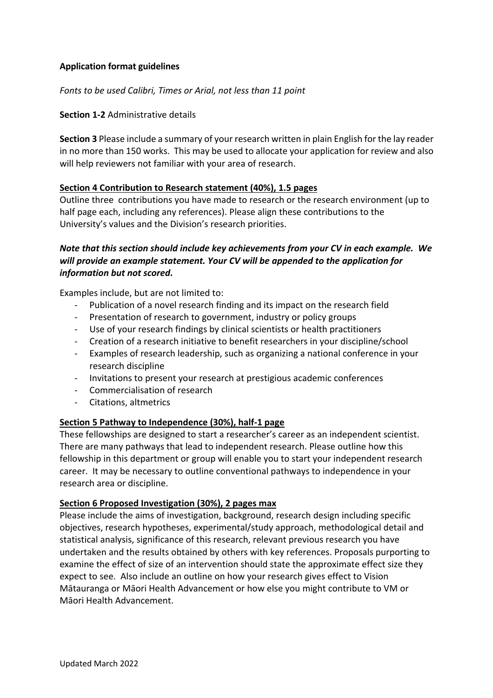# **Application format guidelines**

*Fonts to be used Calibri, Times or Arial, not less than 11 point*

## **Section 1-2** Administrative details

**Section 3** Please include a summary of your research written in plain English for the lay reader in no more than 150 works. This may be used to allocate your application for review and also will help reviewers not familiar with your area of research.

## **Section 4 Contribution to Research statement (40%), 1.5 pages**

Outline three contributions you have made to research or the research environment (up to half page each, including any references). Please align these contributions to the University's values and the Division's research priorities.

# *Note that this section should include key achievements from your CV in each example. We will provide an example statement. Your CV will be appended to the application for information but not scored.*

Examples include, but are not limited to:

- Publication of a novel research finding and its impact on the research field
- Presentation of research to government, industry or policy groups
- Use of your research findings by clinical scientists or health practitioners
- Creation of a research initiative to benefit researchers in your discipline/school
- Examples of research leadership, such as organizing a national conference in your research discipline
- Invitations to present your research at prestigious academic conferences
- Commercialisation of research
- Citations, altmetrics

#### **Section 5 Pathway to Independence (30%), half-1 page**

These fellowships are designed to start a researcher's career as an independent scientist. There are many pathways that lead to independent research. Please outline how this fellowship in this department or group will enable you to start your independent research career. It may be necessary to outline conventional pathways to independence in your research area or discipline.

#### **Section 6 Proposed Investigation (30%), 2 pages max**

Please include the aims of investigation, background, research design including specific objectives, research hypotheses, experimental/study approach, methodological detail and statistical analysis, significance of this research, relevant previous research you have undertaken and the results obtained by others with key references. Proposals purporting to examine the effect of size of an intervention should state the approximate effect size they expect to see. Also include an outline on how your research gives effect to Vision Mātauranga or Māori Health Advancement or how else you might contribute to VM or Māori Health Advancement.